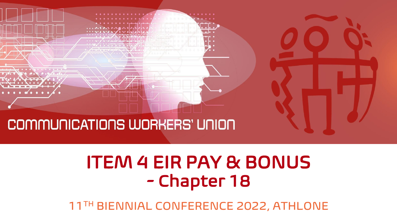

# ITEM 4 EIR PAY & BONUS - Chapter 18

11TH BIENNIAL CONFERENCE 2022, ATHLONE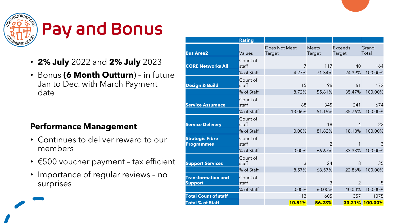

# Pay and Bonus

- **2% July** 2022 and **2% July** 2023
- Bonus **(6 Month Outturn**) in future Jan to Dec. with March Payment date

#### **Performance Management**

- Continues to deliver reward to our members
- €500 voucher payment tax efficient
- Importance of regular reviews no surprises

|                                             | <b>Rating</b>     |                         |                        |                                 |                |
|---------------------------------------------|-------------------|-------------------------|------------------------|---------------------------------|----------------|
| <b>Bus Area2</b>                            | Values            | Does Not Meet<br>Target | <b>Meets</b><br>Target | <b>Exceeds</b><br><b>Target</b> | Grand<br>Total |
| <b>CORE Networks All</b>                    | Count of<br>staff | $\overline{7}$          | 117                    | 40                              | 164            |
|                                             | % of Staff        | 4.27%                   | 71.34%                 | 24.39%                          | 100.00%        |
| Design & Build                              | Count of<br>staff | 15                      | 96                     | 61                              | 172            |
|                                             | % of Staff        | 8.72%                   | 55.81%                 | 35.47%                          | 100.00%        |
| <b>Service Assurance</b>                    | Count of<br>staff | 88                      | 345                    | 241                             | 674            |
|                                             | % of Staff        | 13.06%                  | 51.19%                 | 35.76%                          | 100.00%        |
| <b>Service Delivery</b>                     | Count of<br>staff |                         | 18                     | $\overline{4}$                  | 22             |
|                                             | % of Staff        | 0.00%                   | 81.82%                 | 18.18%                          | 100.00%        |
| <b>Strategic Fibre</b><br><b>Programmes</b> | Count of<br>staff |                         | $\mathfrak{D}$         |                                 | 3              |
|                                             | % of Staff        | 0.00%                   | 66.67%                 | 33.33%                          | 100.00%        |
| <b>Support Services</b>                     | Count of<br>staff | 3                       | 24                     | 8                               | 35             |
|                                             | % of Staff        | 8.57%                   | 68.57%                 | 22.86%                          | 100.00%        |
| <b>Transformation and</b><br><b>Support</b> | Count of<br>staff |                         | 3                      | $\overline{2}$                  | 5              |
|                                             | % of Staff        | 0.00%                   | 60.00%                 | 40.00%                          | 100.00%        |
| <b>Total Count of staff</b>                 |                   | 113                     | 605                    | 357                             | 1075           |
| <b>Total % of Staff</b>                     |                   | 10.51%                  | 56.28%                 | 33.21%                          | 100.00%        |